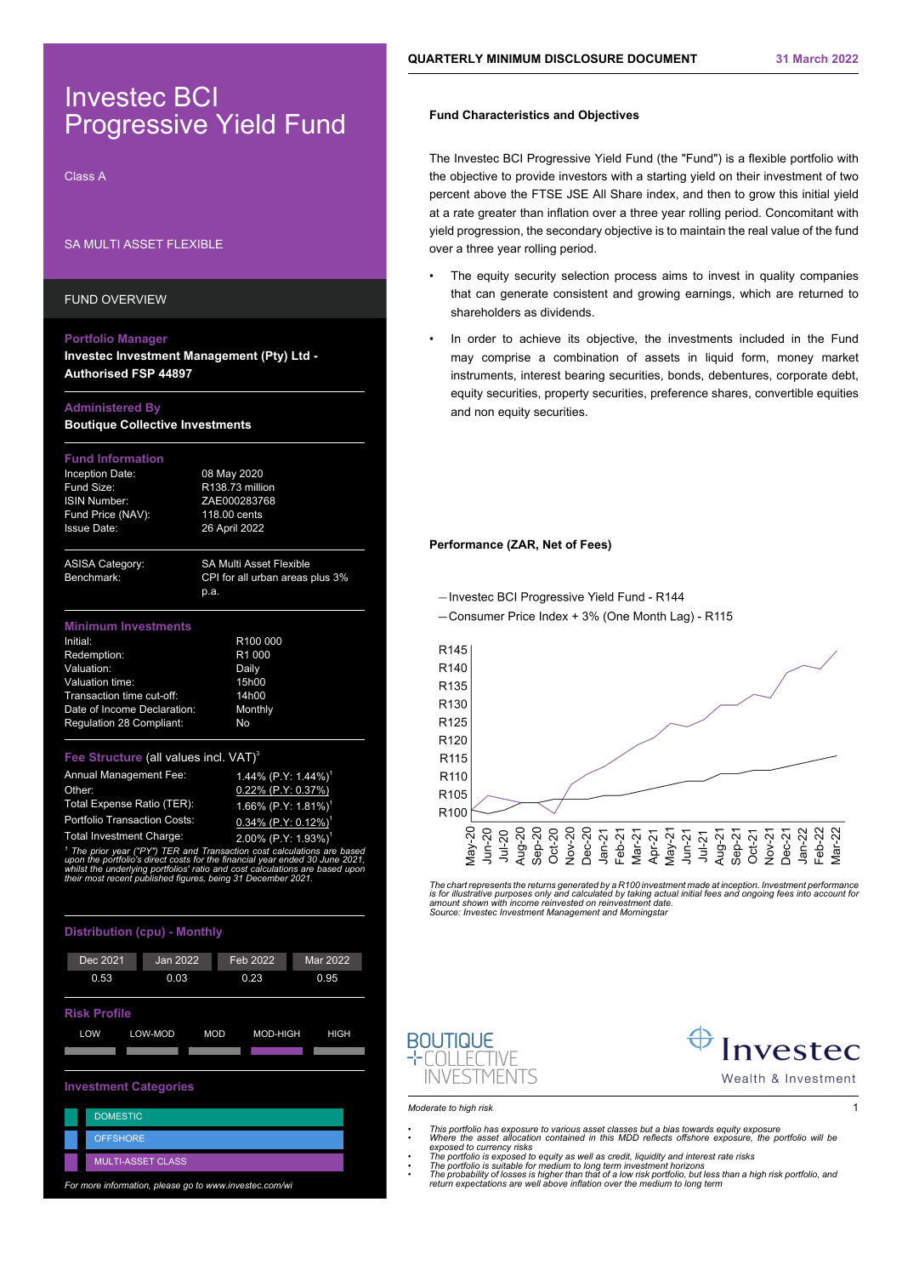# Investec BCI Progressive Yield Fund

Class A

# SA MULTI ASSET FLEXIBLE

FUND OVERVIEW

### **Portfolio Manager**

**Investec Investment Management (Pty) Ltd - Authorised FSP 44897**

## **Administered By**

**Boutique Collective Investments**

## **Fund Information**

Inception Date: 08 May 2020 Fund Size: R138.73 million ISIN Number: ZAE000283768 Fund Price (NAV): 118.00 cents Issue Date: 26 April 2022

ASISA Category: SA Multi Asset Flexible Benchmark: CPI for all urban areas plus 3% p.a.

### **Minimum Investments**

Initial: R100 000<br>
Redemption: R1 000 Redemption: R1 00<br>
Valuation: Daily Valuation: Daily<br>Valuation time: 15h00 Valuation time: Transaction time cut-off: 14h00<br>Date of Income Declaration: Monthly Date of Income Declaration: Monthly Date of Income Declaration: No Regulation 28 Compliant:

# **Fee Structure (all values incl. VAT)<sup>3</sup>**

| Annual Management Fee:              | 1.44% (P.Y: 1.44%) <sup>1</sup>    |
|-------------------------------------|------------------------------------|
| Other:                              | 0.22% (P.Y: 0.37%)                 |
| Total Expense Ratio (TER):          | $1.66\%$ (P.Y: 1.81%) <sup>1</sup> |
| <b>Portfolio Transaction Costs:</b> | $0.34\%$ (P.Y: 0.12%) <sup>1</sup> |
| <b>Total Investment Charge:</b>     | 2.00% (P.Y: 1.93%) <sup>1</sup>    |

*1 The prior year ("PY") TER and Transaction cost calculations are based upon the portfolio's direct costs for the financial year ended 30 June 2021, whilst the underlying portfolios' ratio and cost calculations are based upon their most recent published figures, being 31 December 2021.*





# **Fund Characteristics and Objectives**

The Investec BCI Progressive Yield Fund (the "Fund") is a flexible portfolio with the objective to provide investors with a starting yield on their investment of two percent above the FTSE JSE All Share index, and then to grow this initial yield at a rate greater than inflation over a three year rolling period. Concomitant with yield progression, the secondary objective is to maintain the real value of the fund over a three year rolling period.

- The equity security selection process aims to invest in quality companies that can generate consistent and growing earnings, which are returned to shareholders as dividends.
- In order to achieve its objective, the investments included in the Fund may comprise a combination of assets in liquid form, money market instruments, interest bearing securities, bonds, debentures, corporate debt, equity securities, property securities, preference shares, convertible equities and non equity securities.

## **Performance (ZAR, Net of Fees)**

- Investec BCI Progressive Yield Fund - R144





The chart represents the returns generated by a R100 investment made at inception. Investment performance<br>is for illustrative purposes only and calculated by taking actual initial fees and ongoing fees into account foi<br>amo





Wealth & Investment

- 
- 
- This portfolio has exposure to various asset classes but a bias towards equity exposure<br>Where the asset allocation contained in this MDD reflects offshore exposure, the portfolio will be<br>exposed to currency risks<br>• The p

*Moderate to high risk* 1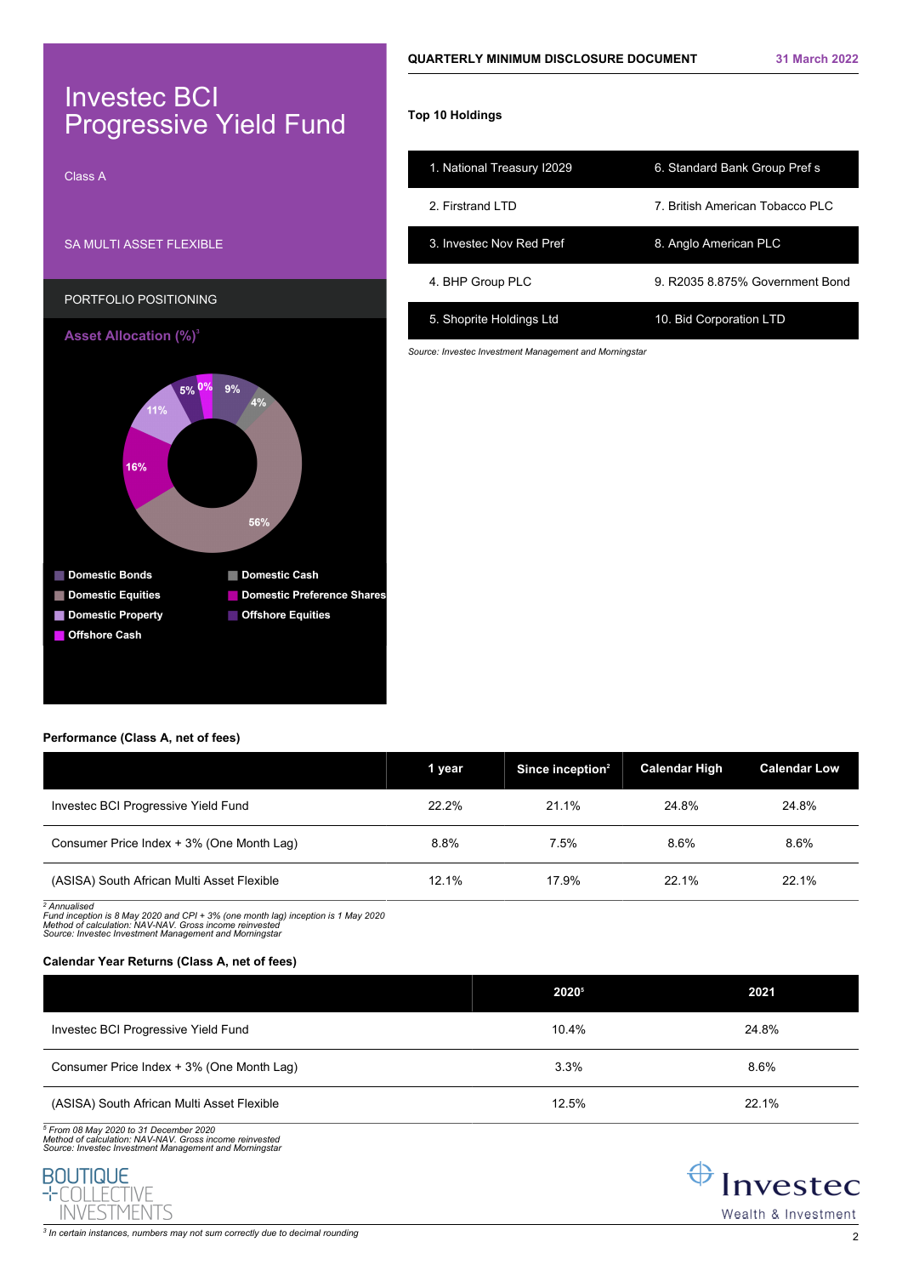# Investec BCI Progressive Yield Fund



# **Top 10 Holdings**

| 1. National Treasury I2029 | 6. Standard Bank Group Prefs    |
|----------------------------|---------------------------------|
| 2 Firstrand I TD           | 7. British American Tobacco PLC |
| 3. Invested Nov Red Pref   | 8. Anglo American PLC           |
| 4. BHP Group PLC           | 9 R2035 8.875% Government Bond  |
| 5. Shoprite Holdings Ltd   | 10. Bid Corporation LTD         |

*Source: Investec Investment Management and Morningstar*

# **Performance (Class A, net of fees)**

|                                            | 1 year | Since inception <sup>2</sup> | <b>Calendar High</b> | <b>Calendar Low</b> |
|--------------------------------------------|--------|------------------------------|----------------------|---------------------|
| Investec BCI Progressive Yield Fund        | 22.2%  | 21.1%                        | 24.8%                | 24.8%               |
| Consumer Price Index + 3% (One Month Lag)  | 8.8%   | 7.5%                         | 8.6%                 | 8.6%                |
| (ASISA) South African Multi Asset Flexible | 12.1%  | 17.9%                        | 22.1%                | 22.1%               |

*2 Annualised*

*Fund inception is 8 May 2020 and CPI + 3% (one month lag) inception is 1 May 2020 Method of calculation: NAV-NAV. Gross income reinvested Source: Investec Investment Management and Morningstar*

# **Calendar Year Returns (Class A, net of fees)**

|                                            | 20205 | 2021  |
|--------------------------------------------|-------|-------|
| Investec BCI Progressive Yield Fund        | 10.4% | 24.8% |
| Consumer Price Index + 3% (One Month Lag)  | 3.3%  | 8.6%  |
| (ASISA) South African Multi Asset Flexible | 12.5% | 22.1% |

*5 From 08 May 2020 to 31 December 2020 Method of calculation: NAV-NAV. Gross income reinvested Source: Investec Investment Management and Morningstar*